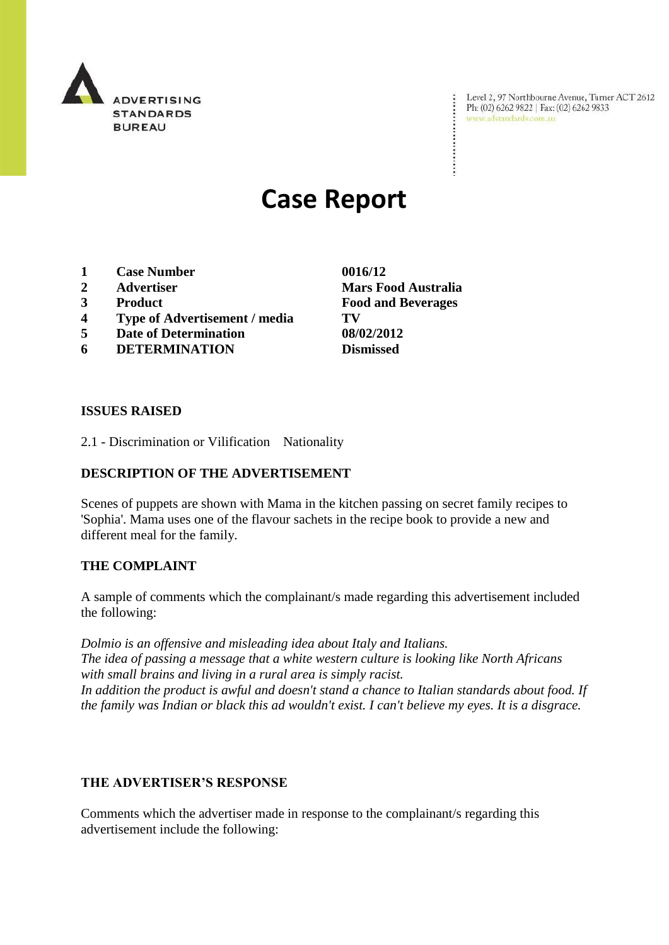

Level 2, 97 Northbourne Avenue, Turner ACT 2612<br>Ph: (02) 6262 9822 | Fax: (02) 6262 9833<br>www.adstandards.com.au

# **Case Report**

- **1 Case Number 0016/12**
- 
- 
- **4 Type of Advertisement / media TV**
- **5 Date of Determination 08/02/2012**
- **6 DETERMINATION Dismissed**

**ISSUES RAISED**

2.1 - Discrimination or Vilification Nationality

## **DESCRIPTION OF THE ADVERTISEMENT**

Scenes of puppets are shown with Mama in the kitchen passing on secret family recipes to 'Sophia'. Mama uses one of the flavour sachets in the recipe book to provide a new and different meal for the family.

## **THE COMPLAINT**

A sample of comments which the complainant/s made regarding this advertisement included the following:

*Dolmio is an offensive and misleading idea about Italy and Italians. The idea of passing a message that a white western culture is looking like North Africans with small brains and living in a rural area is simply racist. In addition the product is awful and doesn't stand a chance to Italian standards about food. If the family was Indian or black this ad wouldn't exist. I can't believe my eyes. It is a disgrace.*

## **THE ADVERTISER'S RESPONSE**

Comments which the advertiser made in response to the complainant/s regarding this advertisement include the following:

**2 Advertiser Mars Food Australia 3 Product Food and Beverages**

÷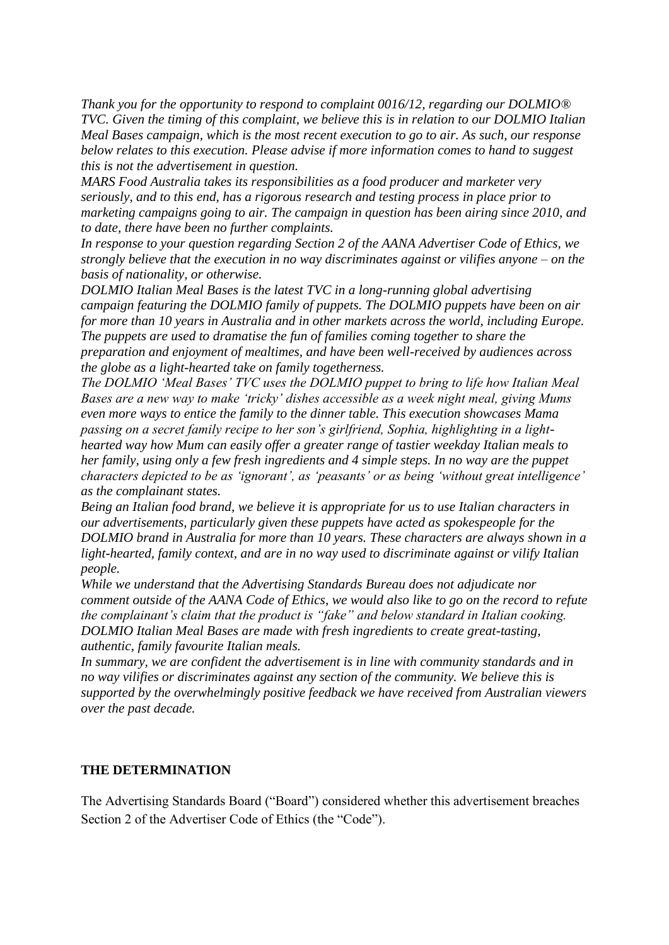*Thank you for the opportunity to respond to complaint 0016/12, regarding our DOLMIO® TVC. Given the timing of this complaint, we believe this is in relation to our DOLMIO Italian Meal Bases campaign, which is the most recent execution to go to air. As such, our response below relates to this execution. Please advise if more information comes to hand to suggest this is not the advertisement in question.*

*MARS Food Australia takes its responsibilities as a food producer and marketer very seriously, and to this end, has a rigorous research and testing process in place prior to marketing campaigns going to air. The campaign in question has been airing since 2010, and to date, there have been no further complaints.*

*In response to your question regarding Section 2 of the AANA Advertiser Code of Ethics, we strongly believe that the execution in no way discriminates against or vilifies anyone – on the basis of nationality, or otherwise.*

*DOLMIO Italian Meal Bases is the latest TVC in a long-running global advertising campaign featuring the DOLMIO family of puppets. The DOLMIO puppets have been on air for more than 10 years in Australia and in other markets across the world, including Europe. The puppets are used to dramatise the fun of families coming together to share the preparation and enjoyment of mealtimes, and have been well-received by audiences across the globe as a light-hearted take on family togetherness.*

*The DOLMIO "Meal Bases" TVC uses the DOLMIO puppet to bring to life how Italian Meal Bases are a new way to make "tricky" dishes accessible as a week night meal, giving Mums even more ways to entice the family to the dinner table. This execution showcases Mama passing on a secret family recipe to her son"s girlfriend, Sophia, highlighting in a lighthearted way how Mum can easily offer a greater range of tastier weekday Italian meals to her family, using only a few fresh ingredients and 4 simple steps. In no way are the puppet characters depicted to be as "ignorant", as "peasants" or as being "without great intelligence" as the complainant states.*

*Being an Italian food brand, we believe it is appropriate for us to use Italian characters in our advertisements, particularly given these puppets have acted as spokespeople for the DOLMIO brand in Australia for more than 10 years. These characters are always shown in a light-hearted, family context, and are in no way used to discriminate against or vilify Italian people.*

*While we understand that the Advertising Standards Bureau does not adjudicate nor comment outside of the AANA Code of Ethics, we would also like to go on the record to refute the complainant"s claim that the product is "fake" and below standard in Italian cooking. DOLMIO Italian Meal Bases are made with fresh ingredients to create great-tasting, authentic, family favourite Italian meals.*

*In summary, we are confident the advertisement is in line with community standards and in no way vilifies or discriminates against any section of the community. We believe this is supported by the overwhelmingly positive feedback we have received from Australian viewers over the past decade.*

## **THE DETERMINATION**

The Advertising Standards Board ("Board") considered whether this advertisement breaches Section 2 of the Advertiser Code of Ethics (the "Code").